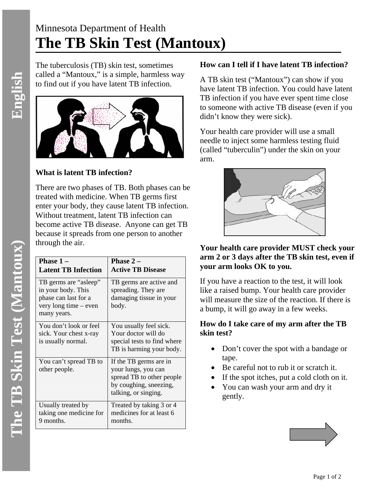# Minnesota Department of Health **The TB Skin Test (Mantoux)**

The tuberculosis (TB) skin test, sometimes called a "Mantoux," is a simple, harmless way to find out if you have latent TB infection.



# **What is latent TB infection?**

There are two phases of TB. Both phases can be treated with medicine. When TB germs first enter your body, they cause latent TB infection. Without treatment, latent TB infection can become active TB disease. Anyone can get TB because it spreads from one person to another through the air.

| Phase $1-$<br><b>Latent TB Infection</b>                                                                    | Phase $2-$<br><b>Active TB Disease</b>                                                                                       |
|-------------------------------------------------------------------------------------------------------------|------------------------------------------------------------------------------------------------------------------------------|
| TB germs are "asleep"<br>in your body. This<br>phase can last for a<br>very long time – even<br>many years. | TB germs are active and<br>spreading. They are<br>damaging tissue in your<br>body.                                           |
| You don't look or feel<br>sick. Your chest x-ray<br>is usually normal.                                      | You usually feel sick.<br>Your doctor will do<br>special tests to find where<br>TB is harming your body.                     |
| You can't spread TB to<br>other people.                                                                     | If the TB germs are in<br>your lungs, you can<br>spread TB to other people<br>by coughing, sneezing,<br>talking, or singing. |
| Usually treated by<br>taking one medicine for<br>9 months.                                                  | Treated by taking 3 or 4<br>medicines for at least 6<br>months.                                                              |

# **How can I tell if I have latent TB infection?**

A TB skin test ("Mantoux") can show if you have latent TB infection. You could have latent TB infection if you have ever spent time close to someone with active TB disease (even if you didn't know they were sick).

Your health care provider will use a small needle to inject some harmless testing fluid (called "tuberculin") under the skin on your arm.



# **Your health care provider MUST check your arm 2 or 3 days after the TB skin test, even if your arm looks OK to you.**

If you have a reaction to the test, it will look like a raised bump. Your health care provider will measure the size of the reaction. If there is a bump, it will go away in a few weeks.

## **How do I take care of my arm after the TB skin test?**

- Don't cover the spot with a bandage or tape.
- Be careful not to rub it or scratch it.
- If the spot itches, put a cold cloth on it.
- You can wash your arm and dry it gently.